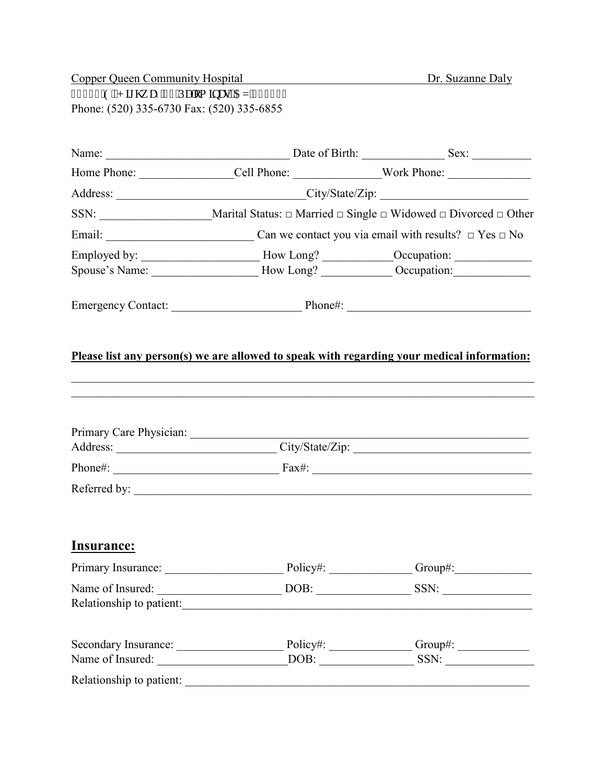Copper Queen Community Hospital Dr. Suzanne Daly 32746'G0J ki j y c{"; 4'Rcmo kpcu.'C\": 7837" Phone: (520) 335-6730 Fax: (520) 335-6855

|                         | Home Phone: ____________________Cell Phone: _____________________Work Phone: _______________________ |  |  |  |
|-------------------------|------------------------------------------------------------------------------------------------------|--|--|--|
|                         |                                                                                                      |  |  |  |
|                         | SSN: _____________________________Marital Status: □ Married □ Single □ Widowed □ Divorced □ Other    |  |  |  |
|                         |                                                                                                      |  |  |  |
|                         | Employed by: _________________________How Long? _____________Occupation: ___________________________ |  |  |  |
|                         | Spouse's Name: _________________________How Long? _______________Occupation: _______________________ |  |  |  |
|                         |                                                                                                      |  |  |  |
|                         | Please list any person(s) we are allowed to speak with regarding your medical information:           |  |  |  |
| Primary Care Physician: | Address: City/State/Zip: City/State/Zip:                                                             |  |  |  |
|                         |                                                                                                      |  |  |  |
|                         |                                                                                                      |  |  |  |
| <b>Insurance:</b>       |                                                                                                      |  |  |  |
|                         | Primary Insurance: Policy#: Policy#: Group#: Group#:                                                 |  |  |  |
| Name of Insured:        | Relationship to patient:                                                                             |  |  |  |
|                         | Secondary Insurance: Policy#: Comp#: Group#:                                                         |  |  |  |
|                         |                                                                                                      |  |  |  |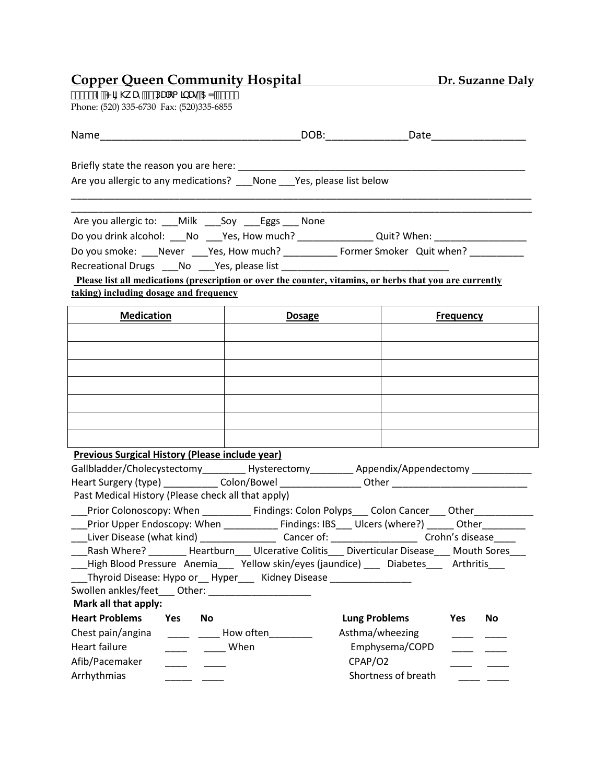# **Copper Queen Community Hospital**  Dr. Suzanne Daly

%) &( '9"< ][ \k Uni &DUca ]bUğ5N', ) \*%} Phone: (520) 335-6730 Fax: (520) 335-6855

| <b>Name</b>                                                                                        | <u>DOB:</u> DOB: Date Date                                                                                     |                     |  |  |  |
|----------------------------------------------------------------------------------------------------|----------------------------------------------------------------------------------------------------------------|---------------------|--|--|--|
|                                                                                                    |                                                                                                                |                     |  |  |  |
|                                                                                                    | Are you allergic to any medications? ___ None ___ Yes, please list below                                       |                     |  |  |  |
| Are you allergic to: ___Milk ___Soy ___Eggs ___ None                                               |                                                                                                                |                     |  |  |  |
|                                                                                                    | Do you drink alcohol: ___No ___Yes, How much? ______________Quit? When: ____________________________           |                     |  |  |  |
|                                                                                                    | Do you smoke: ___Never ___Yes, How much? _____________ Former Smoker Quit when? ___________                    |                     |  |  |  |
|                                                                                                    | Recreational Drugs ____ No _____ Yes, please list ______________________________                               |                     |  |  |  |
|                                                                                                    | Please list all medications (prescription or over the counter, vitamins, or herbs that you are currently       |                     |  |  |  |
| taking) including dosage and frequency                                                             |                                                                                                                |                     |  |  |  |
| <b>Medication</b><br><b>Dosage</b><br><b>Frequency</b>                                             |                                                                                                                |                     |  |  |  |
|                                                                                                    |                                                                                                                |                     |  |  |  |
|                                                                                                    |                                                                                                                |                     |  |  |  |
|                                                                                                    |                                                                                                                |                     |  |  |  |
|                                                                                                    |                                                                                                                |                     |  |  |  |
|                                                                                                    |                                                                                                                |                     |  |  |  |
|                                                                                                    |                                                                                                                |                     |  |  |  |
|                                                                                                    |                                                                                                                |                     |  |  |  |
|                                                                                                    |                                                                                                                |                     |  |  |  |
| <b>Previous Surgical History (Please include year)</b>                                             |                                                                                                                |                     |  |  |  |
|                                                                                                    | Gallbladder/Cholecystectomy__________Hysterectomy___________Appendix/Appendectomy _________________            |                     |  |  |  |
|                                                                                                    | Heart Surgery (type) ______________ Colon/Bowel ____________________ Other ___________________________________ |                     |  |  |  |
| Past Medical History (Please check all that apply)                                                 |                                                                                                                |                     |  |  |  |
|                                                                                                    | Prior Colonoscopy: When _____________ Findings: Colon Polyps____ Colon Cancer____ Other____________            |                     |  |  |  |
| Prior Upper Endoscopy: When _____________ Findings: IBS____ Ulcers (where?) ______ Other__________ |                                                                                                                |                     |  |  |  |
| Rash Where? ________Heartburn____Ulcerative Colitis____Diverticular Disease ____ Mouth Sores       |                                                                                                                |                     |  |  |  |
|                                                                                                    | ___High Blood Pressure Anemia___ Yellow skin/eyes (jaundice) ___ Diabetes___ Arthritis___                      |                     |  |  |  |
|                                                                                                    | _Thyroid Disease: Hypo or__ Hyper____ Kidney Disease _________________                                         |                     |  |  |  |
| Swollen ankles/feet____ Other: ______________________                                              |                                                                                                                |                     |  |  |  |
| Mark all that apply:                                                                               |                                                                                                                |                     |  |  |  |
| <b>Heart Problems</b><br>Yes<br>No                                                                 | <b>Lung Problems</b>                                                                                           | <b>No</b><br>Yes    |  |  |  |
| Chest pain/angina                                                                                  | Asthma/wheezing<br>How often <b>How</b>                                                                        |                     |  |  |  |
| Heart failure                                                                                      | When                                                                                                           | Emphysema/COPD      |  |  |  |
| Afib/Pacemaker                                                                                     | CPAP/O2                                                                                                        |                     |  |  |  |
| Arrhythmias                                                                                        |                                                                                                                | Shortness of breath |  |  |  |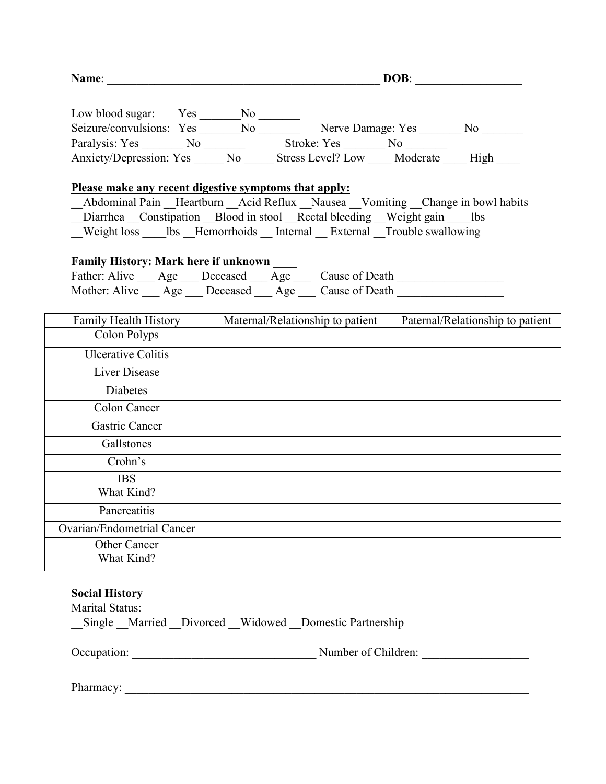| Name:                                                                                                                                              | DOB:                             |  |                                  |  |
|----------------------------------------------------------------------------------------------------------------------------------------------------|----------------------------------|--|----------------------------------|--|
|                                                                                                                                                    |                                  |  |                                  |  |
|                                                                                                                                                    |                                  |  |                                  |  |
|                                                                                                                                                    |                                  |  |                                  |  |
| Anxiety/Depression: Yes No Stress Level? Low Moderate High                                                                                         |                                  |  |                                  |  |
|                                                                                                                                                    |                                  |  |                                  |  |
| Please make any recent digestive symptoms that apply:                                                                                              |                                  |  |                                  |  |
| Abdominal Pain Heartburn Acid Reflux Nausea Vomiting Change in bowl habits<br>Diarrhea Constipation Blood in stool Rectal bleeding Weight gain lbs |                                  |  |                                  |  |
| Weight loss lbs Hemorrhoids Internal External Trouble swallowing                                                                                   |                                  |  |                                  |  |
|                                                                                                                                                    |                                  |  |                                  |  |
| <b>Family History: Mark here if unknown</b>                                                                                                        |                                  |  |                                  |  |
| Father: Alive ___ Age ___ Deceased ___ Age ___ Cause of Death __________________                                                                   |                                  |  |                                  |  |
| Mother: Alive ___ Age ___ Deceased ___ Age ___ Cause of Death                                                                                      |                                  |  |                                  |  |
|                                                                                                                                                    |                                  |  |                                  |  |
| Family Health History                                                                                                                              | Maternal/Relationship to patient |  | Paternal/Relationship to patient |  |
| Colon Polyps                                                                                                                                       |                                  |  |                                  |  |
| <b>Ulcerative Colitis</b>                                                                                                                          |                                  |  |                                  |  |
| <b>Liver Disease</b>                                                                                                                               |                                  |  |                                  |  |
| <b>Diabetes</b>                                                                                                                                    |                                  |  |                                  |  |
| Colon Cancer                                                                                                                                       |                                  |  |                                  |  |
| <b>Gastric Cancer</b>                                                                                                                              |                                  |  |                                  |  |
| Gallstones                                                                                                                                         |                                  |  |                                  |  |
| Crohn's                                                                                                                                            |                                  |  |                                  |  |
| <b>IBS</b>                                                                                                                                         |                                  |  |                                  |  |
| What Kind?                                                                                                                                         |                                  |  |                                  |  |
| Pancreatitis                                                                                                                                       |                                  |  |                                  |  |
| Ovarian/Endometrial Cancer                                                                                                                         |                                  |  |                                  |  |
| Other Cancer                                                                                                                                       |                                  |  |                                  |  |
| What Kind?                                                                                                                                         |                                  |  |                                  |  |

## **Social History**

Marital Status:

\_\_Single \_\_Married \_\_Divorced \_\_Widowed \_\_Domestic Partnership

Occupation: \_\_\_\_\_\_\_\_\_\_\_\_\_\_\_\_\_\_\_\_\_\_\_\_\_\_\_\_\_\_\_ Number of Children: \_\_\_\_\_\_\_\_\_\_\_\_\_\_\_\_\_\_

Pharmacy: \_\_\_\_\_\_\_\_\_\_\_\_\_\_\_\_\_\_\_\_\_\_\_\_\_\_\_\_\_\_\_\_\_\_\_\_\_\_\_\_\_\_\_\_\_\_\_\_\_\_\_\_\_\_\_\_\_\_\_\_\_\_\_\_\_\_\_\_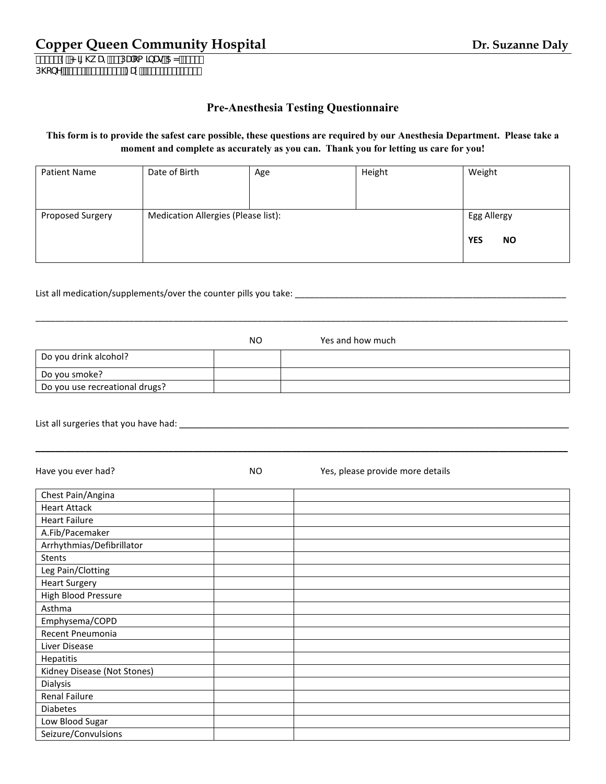## **Copper Queen Community Hospital <b>Dr. Suzanne Daly**

%) & 9"< || \k Uni &DUca |bUğ5N, ) \*%  $D\c{bY}$  if  $88E'$  ') !\*+' S : U. if  $88E'$  ') !\*, )) '

#### **This form is to provide the safest care possible, these questions are required by our Anesthesia Department. Please take a moment and complete as accurately as you can. Thank you for letting us care for you!**

| <b>Patient Name</b> | Date of Birth                       | Age | Height                                 | Weight |
|---------------------|-------------------------------------|-----|----------------------------------------|--------|
| Proposed Surgery    | Medication Allergies (Please list): |     | Egg Allergy<br><b>YES</b><br><b>NO</b> |        |

#### List all medication/supplements/over the counter pills you take: \_\_\_\_\_\_\_\_\_\_\_\_\_\_\_\_\_\_\_\_\_\_

|                                | NO | Yes and how much |
|--------------------------------|----|------------------|
| Do you drink alcohol?          |    |                  |
| Do you smoke?                  |    |                  |
| Do you use recreational drugs? |    |                  |

\_\_\_\_\_\_\_\_\_\_\_\_\_\_\_\_\_\_\_\_\_\_\_\_\_\_\_\_\_\_\_\_\_\_\_\_\_\_\_\_\_\_\_\_\_\_\_\_\_\_\_\_\_\_\_\_\_\_\_\_\_\_\_\_\_\_\_\_\_\_\_\_\_\_\_\_\_\_\_\_\_\_\_\_\_\_\_\_\_\_\_\_\_\_\_\_\_\_\_\_\_\_\_\_\_\_\_\_

\_\_\_\_\_\_\_\_\_\_\_\_\_\_\_\_\_\_\_\_\_\_\_\_\_\_\_\_\_\_\_\_\_\_\_\_\_\_\_\_\_\_\_\_\_\_\_\_\_\_\_\_\_\_\_\_\_\_\_\_\_\_\_\_\_\_\_\_\_\_\_\_\_\_\_\_\_\_\_\_\_\_\_\_\_\_\_\_\_\_\_\_\_\_\_\_\_\_\_\_\_\_\_\_\_\_\_\_

List all surgeries that you have had: \_\_\_\_\_\_\_\_\_\_\_\_\_\_\_\_\_\_\_\_\_\_\_\_\_\_\_\_\_\_\_\_\_\_\_\_\_\_\_\_\_\_\_\_\_\_\_\_\_\_\_\_\_\_\_\_\_\_\_\_\_\_\_\_\_\_\_\_\_\_\_\_\_\_\_\_\_\_\_

Have you ever had? The May the More of North More of Yes, please provide more details Chest Pain/Angina Heart Attack Heart Failure A.Fib/Pacemaker Arrhythmias/Defibrillator Stents Leg Pain/Clotting Heart Surgery High Blood Pressure Asthma Emphysema/COPD Recent Pneumonia Liver Disease Hepatitis Kidney Disease (Not Stones) Dialysis Renal Failure Diabetes Low Blood Sugar Seizure/Convulsions